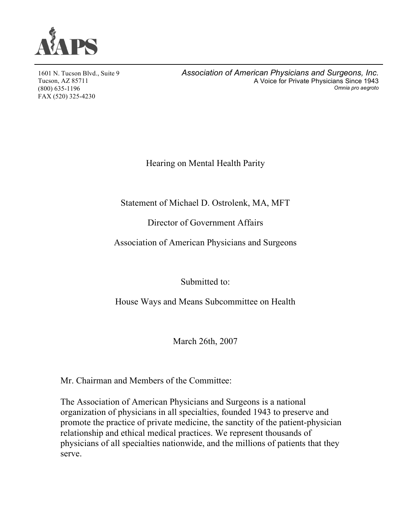

1601 N. Tucson Blvd., Suite 9 Tucson, AZ 85711 (800) 635-1196 FAX (520) 325-4230

*Association of American Physicians and Surgeons, Inc.* A Voice for Private Physicians Since 1943 *Omnia pro aegroto*

Hearing on Mental Health Parity

Statement of Michael D. Ostrolenk, MA, MFT

Director of Government Affairs

Association of American Physicians and Surgeons

Submitted to:

House Ways and Means Subcommittee on Health

March 26th, 2007

Mr. Chairman and Members of the Committee:

The Association of American Physicians and Surgeons is a national organization of physicians in all specialties, founded 1943 to preserve and promote the practice of private medicine, the sanctity of the patient-physician relationship and ethical medical practices. We represent thousands of physicians of all specialties nationwide, and the millions of patients that they serve.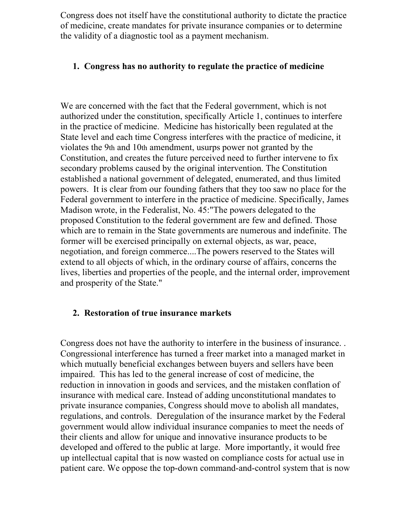Congress does not itself have the constitutional authority to dictate the practice of medicine, create mandates for private insurance companies or to determine the validity of a diagnostic tool as a payment mechanism.

## **1. Congress has no authority to regulate the practice of medicine**

We are concerned with the fact that the Federal government, which is not authorized under the constitution, specifically Article 1, continues to interfere in the practice of medicine. Medicine has historically been regulated at the State level and each time Congress interferes with the practice of medicine, it violates the 9th and 10th amendment, usurps power not granted by the Constitution, and creates the future perceived need to further intervene to fix secondary problems caused by the original intervention. The Constitution established a national government of delegated, enumerated, and thus limited powers. It is clear from our founding fathers that they too saw no place for the Federal government to interfere in the practice of medicine. Specifically, James Madison wrote, in the Federalist, No. 45:"The powers delegated to the proposed Constitution to the federal government are few and defined. Those which are to remain in the State governments are numerous and indefinite. The former will be exercised principally on external objects, as war, peace, negotiation, and foreign commerce....The powers reserved to the States will extend to all objects of which, in the ordinary course of affairs, concerns the lives, liberties and properties of the people, and the internal order, improvement and prosperity of the State."

## **2. Restoration of true insurance markets**

Congress does not have the authority to interfere in the business of insurance. . Congressional interference has turned a freer market into a managed market in which mutually beneficial exchanges between buyers and sellers have been impaired. This has led to the general increase of cost of medicine, the reduction in innovation in goods and services, and the mistaken conflation of insurance with medical care. Instead of adding unconstitutional mandates to private insurance companies, Congress should move to abolish all mandates, regulations, and controls. Deregulation of the insurance market by the Federal government would allow individual insurance companies to meet the needs of their clients and allow for unique and innovative insurance products to be developed and offered to the public at large. More importantly, it would free up intellectual capital that is now wasted on compliance costs for actual use in patient care. We oppose the top-down command-and-control system that is now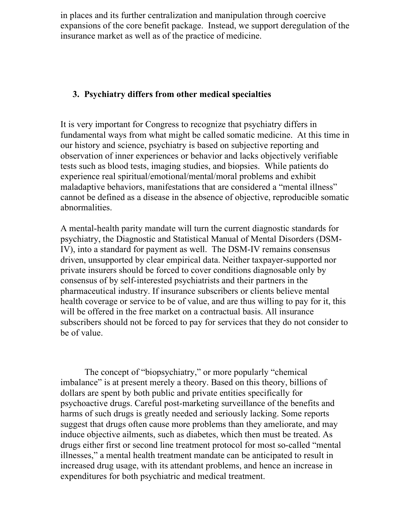in places and its further centralization and manipulation through coercive expansions of the core benefit package. Instead, we support deregulation of the insurance market as well as of the practice of medicine.

## **3. Psychiatry differs from other medical specialties**

It is very important for Congress to recognize that psychiatry differs in fundamental ways from what might be called somatic medicine. At this time in our history and science, psychiatry is based on subjective reporting and observation of inner experiences or behavior and lacks objectively verifiable tests such as blood tests, imaging studies, and biopsies. While patients do experience real spiritual/emotional/mental/moral problems and exhibit maladaptive behaviors, manifestations that are considered a "mental illness" cannot be defined as a disease in the absence of objective, reproducible somatic abnormalities.

A mental-health parity mandate will turn the current diagnostic standards for psychiatry, the Diagnostic and Statistical Manual of Mental Disorders (DSM-IV), into a standard for payment as well. The DSM-IV remains consensus driven, unsupported by clear empirical data. Neither taxpayer-supported nor private insurers should be forced to cover conditions diagnosable only by consensus of by self-interested psychiatrists and their partners in the pharmaceutical industry. If insurance subscribers or clients believe mental health coverage or service to be of value, and are thus willing to pay for it, this will be offered in the free market on a contractual basis. All insurance subscribers should not be forced to pay for services that they do not consider to be of value.

The concept of "biopsychiatry," or more popularly "chemical imbalance" is at present merely a theory. Based on this theory, billions of dollars are spent by both public and private entities specifically for psychoactive drugs. Careful post-marketing surveillance of the benefits and harms of such drugs is greatly needed and seriously lacking. Some reports suggest that drugs often cause more problems than they ameliorate, and may induce objective ailments, such as diabetes, which then must be treated. As drugs either first or second line treatment protocol for most so-called "mental illnesses," a mental health treatment mandate can be anticipated to result in increased drug usage, with its attendant problems, and hence an increase in expenditures for both psychiatric and medical treatment.